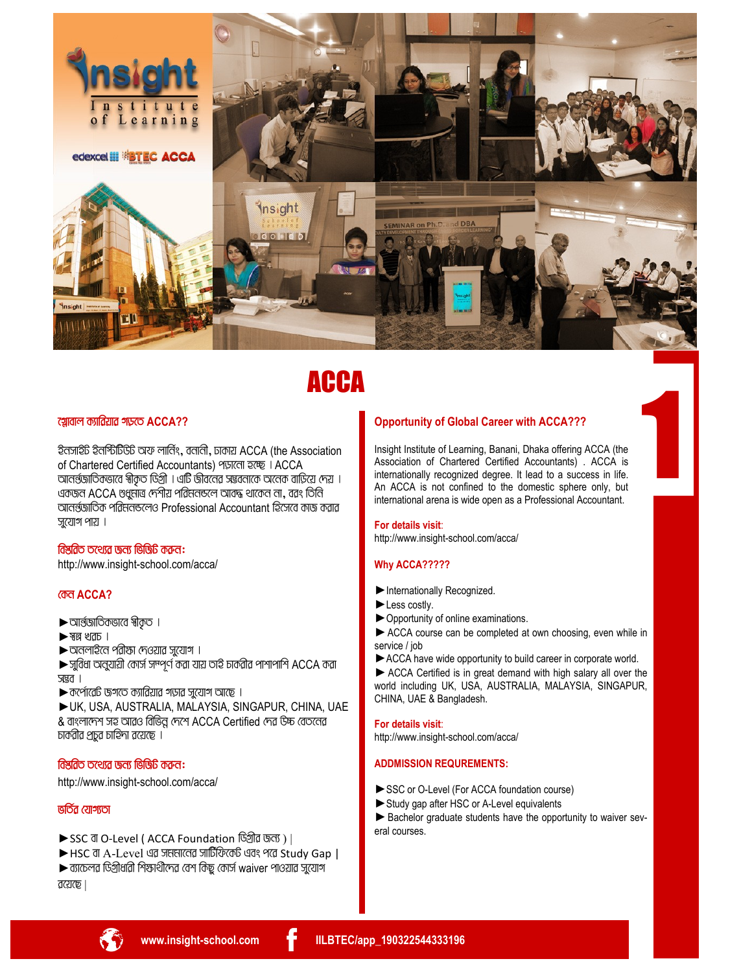

# **ACCA**

## খ়োবাল ক্যাৱিয়ার গড়তে  $ACCA$ ??

ইনসাইট ইনর্শ্টিটিউট অফ লার্নিং, বনানী, ঢাকায় ACCA (the Association of Chartered Certified Accountants) পড়ালো হচ্ছে । ACCA আনর্নজাতিকভাবে স্বীকৃত ডিগ্রী । এটি জীবনের সম্ভবনাকে অনেক বাড়িয়ে দেয় । একজন ACCA ণ্ডপ্র্মাত্র দেশীয় পরিমনন্ডলে আবদ্ধ থাকেন না, বরং তিনি আনর্রজাতিক পত্রিমনঙলেও Professional Accountant হিসেবে কাজ করার  $57$ যোগ পায়।

#### বিশ্ববিত তথ্যের জন্য ভিডিটি করুন:

http://www.insight-school.com/acca/

## *<u>അ ACCA?</u>*

- $\blacktriangleright$  আর্ন্ডাতিকভাবে স্বীকৃত ।
- $\blacktriangleright$  ম্বল্ল খক্ৰচ ।
- $\blacktriangleright$  অনলাইনে পরীস্তা দেওয়ার সুযোগ ।

 $\blacktriangleright$  সুবিধা অনুযায়ী কোর্স সম্পূর্ণ করা যায় তাই চাকরীর পাশাপাশি ACCA করা जखत ।

- $\blacktriangleright$  কর্পোরেট জগতে ক্যারিয়ার গড়ার সুযোগ আছে ।
- UK, USA, AUSTRALIA, MALAYSIA, SINGAPUR, CHINA, UAE & বাংলাদেশ সহ আরও বিভিন্ন দেশে ACCA Certified দেৱ উচ্চ বেতবেৱ চার্করীর প্রচুর চাহিদা রয়েছে ।

## বিশ্বৱিত তথ্যেৱ জন্য ভিজিচি কক্ৰন:

http://www.insight-school.com/acca/

## $\overline{666}$   $\overline{c}$   $\overline{c}$

- ▶ SSC বা O-Level (ACCA Foundation ডিগ্রীৱ জন্য) ।
- ▶ HSC বা A-Level এর সমমানের সার্টিফিকেট এবং পরে Study Gap |  $\blacktriangleright$  ব্যাচেলর ডিগ্রীধারী শিক্ষার্থীদের বেশ কিছু কোর্স waiver পাওয়ার সুযোগ  $rac{1}{2}$

## **Opportunity of Global Career with ACCA???**

Insight Institute of Learning, Banani, Dhaka offering ACCA (the Association of Chartered Certified Accountants) . ACCA is internationally recognized degree. It lead to a success in life. An ACCA is not confined to the domestic sphere only, but international arena is wide open as a Professional Accountant.

#### For details visit:

http://www.insight-school.com/acca/

## Why ACCA?????

- Internationally Recognized.
- Less costly.
- ▶ Opportunity of online examinations.

ACCA course can be completed at own choosing, even while in service / job

ACCA have wide opportunity to build career in corporate world.

ACCA Certified is in great demand with high salary all over the world including UK, USA, AUSTRALIA, MALAYSIA, SINGAPUR, CHINA, UAE & Bangladesh.

#### For details visit:

http://www.insight-school.com/acca/

## **ADDMISSION REQUREMENTS:**

- SSC or O-Level (For ACCA foundation course)
- Study gap after HSC or A-Level equivalents

Bachelor graduate students have the opportunity to waiver several courses.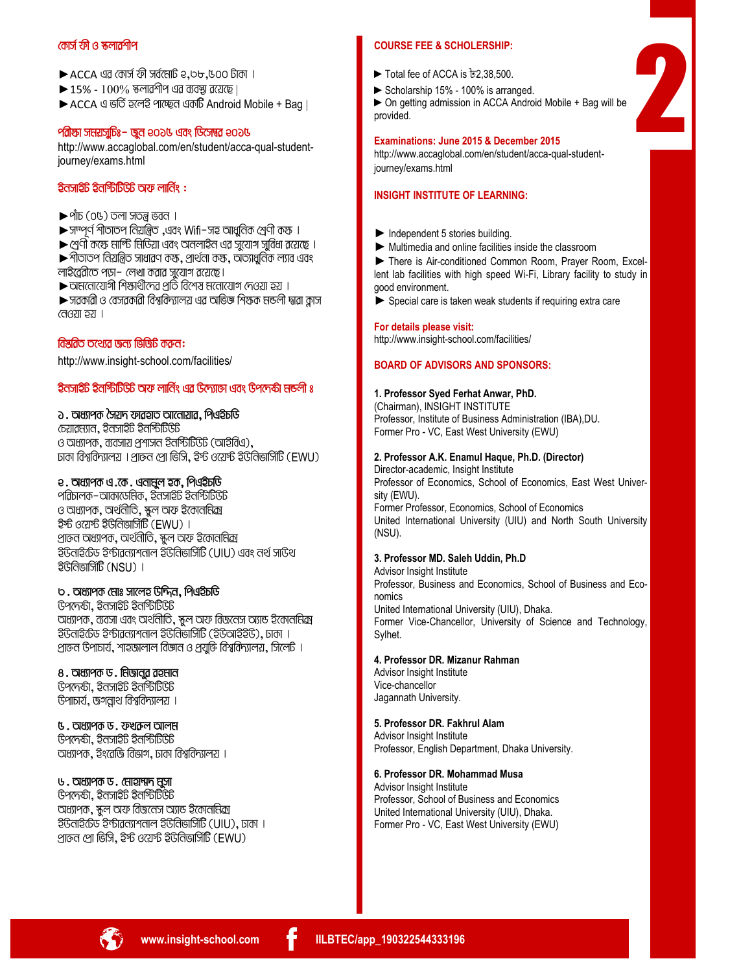## **†Kvm© dx I ¯‹jvikxc**

- $\blacktriangleright$  ACCA এর কোর্স ফী সর্বমোট २,৩৮,৬০০ টাকা ।
- $\blacktriangleright$  15%  $100\%$  স্কলারর্শীপ এর ব্যবস্থা রয়েছে।

► ACCA এ ভর্তি হলেই পাচ্ছেন একটি Android Mobile + Bag |

## **edian straights- back of the Constraignment of the Property Points**

http://www.accaglobal.com/en/student/acca-qual-studentjourney/exams.html

#### **टेतजार्थे बैठानिपिटि चिरु लाति :**

- $\blacktriangleright$  পাঁচ (০৫) তলা সতন্ত্ৰ ভবন ।
- $\blacktriangleright$  সম্পূর্ণ পীতাতপ বিয়ন্ত্রিত, এবং Wifi-সহ আধুবিক শ্রেণী কস্ক ।
- $\blacktriangleright$  শ্রেণী কক্ষে মার্ল্টি মিডিয়া এবং অনলাইন এর সুযোগ সুবিধা রয়েছে ।
- $\blacktriangleright$  পীতাতপ বিয়ন্ত্রিত সাধারণ কস্ক, প্রার্থনো কস্ক, অত্যাধুবিক ল্যাব এবং
- লাইত্ত্রেরীতে পড়া- লেখা করার সুযোগ রয়েছে।

 $\blacktriangleright$  অমনোযোগী শিক্ষার্থীদের প্রতি বিশেষ মনোযোগ দেওয়া হয় ।

 $\blacktriangleright$  সৱকাৱী ও বেসৱকাৱী বিশ্ববিদ্যালয় এৱ অভিজ্ঞ শিশুক মন্ডলী দ্বাৱা ক্লাস  $(703)$   $\overline{20}$  |

#### ক্রি**শ্র**কি তথ্যের জন্য জিজিটি করুন:

http://www.insight-school.com/facilities/

## **হিন্সাইট ইনস্টিটিউট অফ লার্নিং এর উদ্যোজ এবং উপদেষ্টা মন্ডলী ঃ**

## **2. অধ্যাপক সৈয়দ ফাৱহাত আনোয়াৱ. পিএইচডি**

 $\sigma$  $\alpha$ garava,  $\beta$ a $\beta$ an $\beta$ b $\beta$ G $\beta$ ও অধ্যাপক, ব্যবসায় প্রশাসন ইনস্টিটিউট (আইবিএ).  $D$ তাকা বিশ্ববিদ্যালয় । প্রাক্তন প্রো ভিসি, ইস্ট ওয়েস্ট ইউনিভার্সিটি (EWU)

#### **2. অধ্যাপক এ.কে. এনান্দ্রল হক, পিএইচডি**

 $9$ রিচালক-আকাডেমিক, ইনসাইট ইনস্টিটিউট ও অধ্যাপক, অর্থনীতি, কুল অফ ইকোননিক্র  $\frac{1}{2}$ ষ্ট ওয়ের্স্ট ইউনিভার্সিটি (EWU) । প্রাক্তন অধ্যাপক, অর্থনীতি, স্কুল অফ ইকোননিক্র  $\widehat{\mathcal{B}}$ Gan $\widehat{\mathcal{B}}$ bbraham Borgana bok $\widehat{\mathcal{B}}$ Gulu) ଏas a $\widehat{\mathcal{B}}$  সা $\mathcal{B}$ থ  $\partial\mathbb{G}$  (NSU) |

## **b.** অধ্যাপক মোঃ সালেহ উদ্দিন, পিএইচডি

 $G$ পদেষ্টা, ইনসাই $G$  ইনস্টিটি $G$ চি অধ্যাপক, ব্যবসা এবং অর্থনীতি, স্কুল অফ বিজনেস অ্যান্ড ইকোনমিক্র  $\widehat{B}$ Gand $\widehat{B}$ usidar Bandwall Bordin Bibliot ( $\widehat{B}$ Gund $\widehat{B}$ C),  $\widehat{B}$  |  $\overline{c}$ পাক্তন উপাচার্য, শাহুড়ালাল বিজ্ঞান ও পর্যক্তি বিশ্ববিদ্যালয়, সিলেট ।

## **8. অধ্যাপক ড. নিজানুৱ ৱহুমান**

 $B^{\alpha}$ G $\gamma$ v, Basil $B^{\beta}$ Budu টপাচার্য, জগন্নাথ বিশ্ববিদ্যালয় ।

**5. অধ্যাপক ড. ফখকল আলম** Gপদেষ্টা, ইনসাইট ইনস্টিটি*ড*ট অধ্যাপক, ইংরেজি বিভাগ, ঢাকা বিশ্ববিদ্যালয় ।

#### **৬. অ**ধ্যাপক ড. মোহাম্মদ মুসা

Gornan, Basneb Banbbos অধ্যাপক, স্কুল অফ বিজনেস অ্যান্ড ইকোননিক্রা  $\beta$ Gेतार $\beta$ फ रेकीव्रतप्रभुताल रेडितिबार्जिए (UIU), प्रामा । প্রাক্তন প্রো ভিসি, ইস্ট ওয়েস্ট ইউনিভার্সিটি (EWU)

#### **COURSE FEE & SCHOLERSHIP:**

- ►Total fee of ACCA is ৳2,38,500.
- ►Scholarship 15% 100% is arranged.

►On getting admission in ACCA Android Mobile + Bag will be provided.

2

#### **Examinations: June 2015 & December 2015**

http://www.accaglobal.com/en/student/acca-qual-studentjourney/exams.html

## **INSIGHT INSTITUTE OF LEARNING:**

- ► Independent 5 stories building.
- ► Multimedia and online facilities inside the classroom

► There is Air-conditioned Common Room, Prayer Room, Excellent lab facilities with high speed Wi-Fi, Library facility to study in good environment.

► Special care is taken weak students if requiring extra care

#### **For details please visit:**

http://www.insight-school.com/facilities/

#### **BOARD OF ADVISORS AND SPONSORS:**

#### **1. Professor Syed Ferhat Anwar, PhD.**

(Chairman), INSIGHT INSTITUTE Professor, Institute of Business Administration (IBA),DU. Former Pro - VC, East West University (EWU)

#### **2. Professor A.K. Enamul Haque, Ph.D. (Director)**

Director-academic, Insight Institute Professor of Economics, School of Economics, East West University (EWU). Former Professor, Economics, School of Economics United International University (UIU) and North South University (NSU).

#### **3. Professor MD. Saleh Uddin, Ph.D**

Advisor Insight Institute Professor, Business and Economics, School of Business and Economics United International University (UIU), Dhaka. Former Vice-Chancellor, University of Science and Technology, Sylhet.

#### **4. Professor DR. Mizanur Rahman**

Advisor Insight Institute Vice-chancellor Jagannath University.

#### **5. Professor DR. Fakhrul Alam** Advisor Insight Institute

Professor, English Department, Dhaka University.

#### **6. Professor DR. Mohammad Musa**

Advisor Insight Institute Professor, School of Business and Economics United International University (UIU), Dhaka. Former Pro - VC, East West University (EWU)